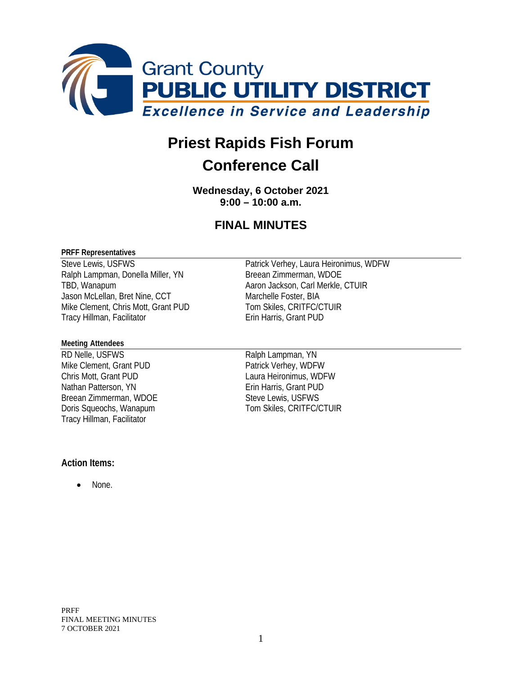

# **Priest Rapids Fish Forum**

# **Conference Call**

**Wednesday, 6 October 2021 9:00 – 10:00 a.m.**

## **FINAL MINUTES**

#### **PRFF Representatives**

Steve Lewis, USFWS<br>
Ralph Lampman, Donella Miller, YN<br>
Breean Zimmerman, WDOE Ralph Lampman, Donella Miller, YN TBD, Wanapum **Aaron Jackson, Carl Merkle, CTUIR** Jason McLellan, Bret Nine, CCT Marchelle Foster, BIA Mike Clement, Chris Mott, Grant PUD Tom Skiles, CRITFC/CTUIR Tracy Hillman, Facilitator **Example 20 Francis** Erin Harris, Grant PUD

#### **Meeting Attendees**

RD Nelle, USFWS<br>
Mike Clement, Grant PUD<br>
Patrick Verhey, WDFW Mike Clement, Grant PUD Chris Mott, Grant PUD Laura Heironimus, WDFW Nathan Patterson, YN Erin Harris, Grant PUD Breean Zimmerman, WDOE Steve Lewis, USFWS<br>
Doris Squeochs, Wanapum<br>
Steve Lewis, CRITFC/C Tracy Hillman, Facilitator

Tom Skiles, CRITFC/CTUIR

#### **Action Items:**

None.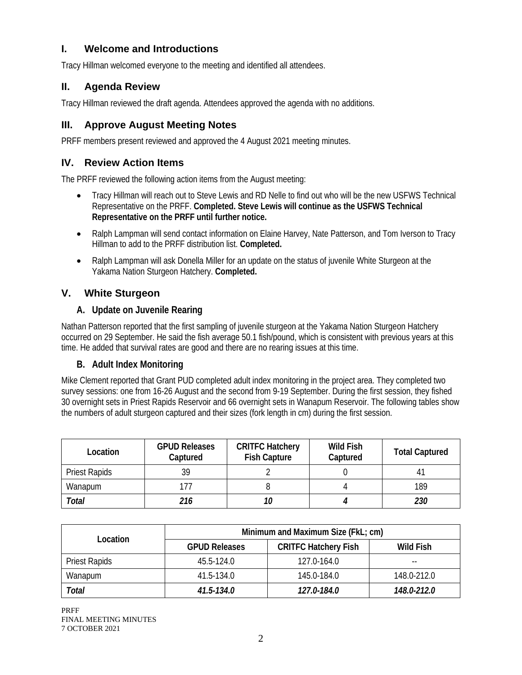## **I. Welcome and Introductions**

Tracy Hillman welcomed everyone to the meeting and identified all attendees.

#### **II. Agenda Review**

Tracy Hillman reviewed the draft agenda. Attendees approved the agenda with no additions.

#### **III. Approve August Meeting Notes**

PRFF members present reviewed and approved the 4 August 2021 meeting minutes.

#### **IV. Review Action Items**

The PRFF reviewed the following action items from the August meeting:

- Tracy Hillman will reach out to Steve Lewis and RD Nelle to find out who will be the new USFWS Technical Representative on the PRFF. **Completed. Steve Lewis will continue as the USFWS Technical Representative on the PRFF until further notice.**
- Ralph Lampman will send contact information on Elaine Harvey, Nate Patterson, and Tom Iverson to Tracy Hillman to add to the PRFF distribution list. **Completed.**
- Ralph Lampman will ask Donella Miller for an update on the status of juvenile White Sturgeon at the Yakama Nation Sturgeon Hatchery. **Completed.**

#### **V. White Sturgeon**

#### **A. Update on Juvenile Rearing**

Nathan Patterson reported that the first sampling of juvenile sturgeon at the Yakama Nation Sturgeon Hatchery occurred on 29 September. He said the fish average 50.1 fish/pound, which is consistent with previous years at this time. He added that survival rates are good and there are no rearing issues at this time.

#### **B. Adult Index Monitoring**

Mike Clement reported that Grant PUD completed adult index monitoring in the project area. They completed two survey sessions: one from 16-26 August and the second from 9-19 September. During the first session, they fished 30 overnight sets in Priest Rapids Reservoir and 66 overnight sets in Wanapum Reservoir. The following tables show the numbers of adult sturgeon captured and their sizes (fork length in cm) during the first session.

| Location             | <b>GPUD Releases</b><br>Captured | <b>CRITFC Hatchery</b><br><b>Fish Capture</b> | <b>Wild Fish</b><br>Captured | <b>Total Captured</b> |  |
|----------------------|----------------------------------|-----------------------------------------------|------------------------------|-----------------------|--|
| <b>Priest Rapids</b> | 39                               |                                               |                              |                       |  |
| Wanapum              |                                  |                                               |                              | 189                   |  |
| Total                | 216                              | 10                                            |                              | 230                   |  |

|                      | Minimum and Maximum Size (FkL; cm) |                             |             |  |
|----------------------|------------------------------------|-----------------------------|-------------|--|
| Location             | <b>GPUD Releases</b>               | <b>CRITFC Hatchery Fish</b> | Wild Fish   |  |
| <b>Priest Rapids</b> | 45.5-124.0                         | 127.0-164.0                 | --          |  |
| Wanapum              | 41.5-134.0                         | 145.0-184.0                 | 148.0-212.0 |  |
| Total                | 41.5-134.0                         | 127.0-184.0                 | 148.0-212.0 |  |

PRFF FINAL MEETING MINUTES 7 OCTOBER 2021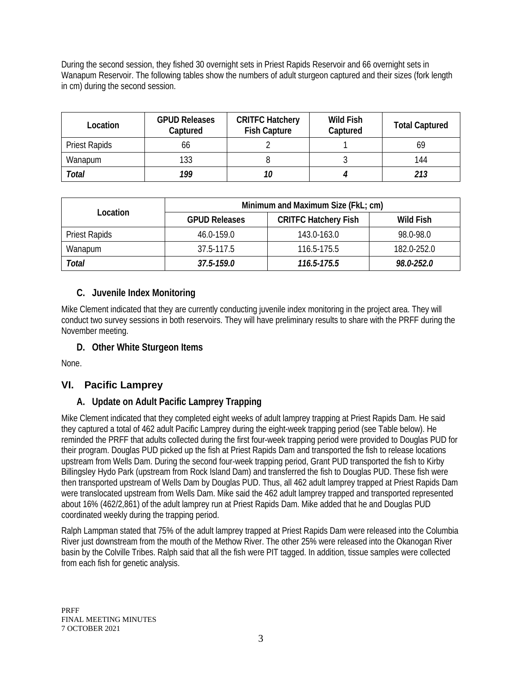During the second session, they fished 30 overnight sets in Priest Rapids Reservoir and 66 overnight sets in Wanapum Reservoir. The following tables show the numbers of adult sturgeon captured and their sizes (fork length in cm) during the second session.

| Location             | <b>GPUD Releases</b><br>Captured | <b>CRITFC Hatchery</b><br><b>Fish Capture</b> | Wild Fish<br>Captured | <b>Total Captured</b> |  |
|----------------------|----------------------------------|-----------------------------------------------|-----------------------|-----------------------|--|
| <b>Priest Rapids</b> | 66                               |                                               |                       | 69                    |  |
| Wanapum              | 133                              |                                               |                       | 144                   |  |
| Total                | 199                              | 10                                            |                       | 213                   |  |

|                      | Minimum and Maximum Size (FkL; cm) |                             |             |  |
|----------------------|------------------------------------|-----------------------------|-------------|--|
| Location             | <b>GPUD Releases</b>               | <b>CRITFC Hatchery Fish</b> | Wild Fish   |  |
| <b>Priest Rapids</b> | 46.0-159.0                         | 143.0-163.0                 | 98.0-98.0   |  |
| Wanapum              | 37.5-117.5                         | 116.5-175.5                 | 182.0-252.0 |  |
| Total                | 37.5-159.0                         | 116.5-175.5                 | 98.0-252.0  |  |

#### **C. Juvenile Index Monitoring**

Mike Clement indicated that they are currently conducting juvenile index monitoring in the project area. They will conduct two survey sessions in both reservoirs. They will have preliminary results to share with the PRFF during the November meeting.

#### **D. Other White Sturgeon Items**

None.

### **VI. Pacific Lamprey**

#### **A. Update on Adult Pacific Lamprey Trapping**

Mike Clement indicated that they completed eight weeks of adult lamprey trapping at Priest Rapids Dam. He said they captured a total of 462 adult Pacific Lamprey during the eight-week trapping period (see Table below). He reminded the PRFF that adults collected during the first four-week trapping period were provided to Douglas PUD for their program. Douglas PUD picked up the fish at Priest Rapids Dam and transported the fish to release locations upstream from Wells Dam. During the second four-week trapping period, Grant PUD transported the fish to Kirby Billingsley Hydo Park (upstream from Rock Island Dam) and transferred the fish to Douglas PUD. These fish were then transported upstream of Wells Dam by Douglas PUD. Thus, all 462 adult lamprey trapped at Priest Rapids Dam were translocated upstream from Wells Dam. Mike said the 462 adult lamprey trapped and transported represented about 16% (462/2,861) of the adult lamprey run at Priest Rapids Dam. Mike added that he and Douglas PUD coordinated weekly during the trapping period.

Ralph Lampman stated that 75% of the adult lamprey trapped at Priest Rapids Dam were released into the Columbia River just downstream from the mouth of the Methow River. The other 25% were released into the Okanogan River basin by the Colville Tribes. Ralph said that all the fish were PIT tagged. In addition, tissue samples were collected from each fish for genetic analysis.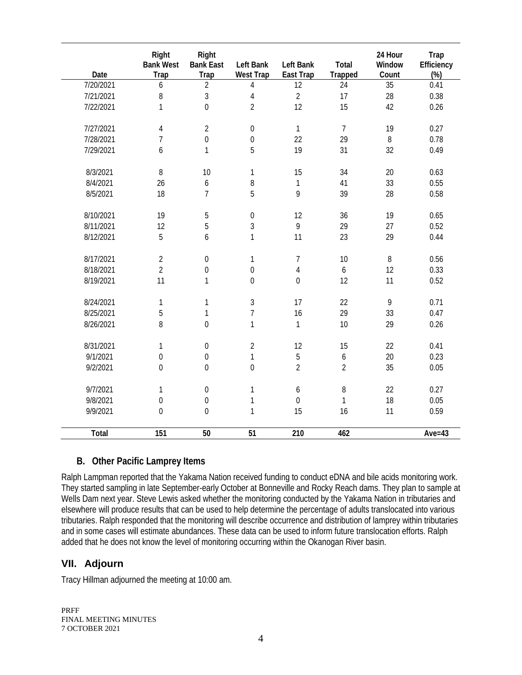| Date      | Right<br><b>Bank West</b><br><b>Trap</b> | Right<br><b>Bank East</b><br><b>Trap</b> | Left Bank<br><b>West Trap</b> | Left Bank<br>East Trap | Total<br><b>Trapped</b> | 24 Hour<br>Window<br>Count | Trap<br>Efficiency<br>$(\%)$ |
|-----------|------------------------------------------|------------------------------------------|-------------------------------|------------------------|-------------------------|----------------------------|------------------------------|
| 7/20/2021 | 6                                        | $\overline{2}$                           | 4                             | 12                     | 24                      | 35                         | 0.41                         |
| 7/21/2021 | 8                                        | $\overline{3}$                           | $\overline{4}$                | $\overline{2}$         | 17                      | 28                         | 0.38                         |
| 7/22/2021 | 1                                        | $\overline{0}$                           | $\overline{2}$                | 12                     | 15                      | 42                         | 0.26                         |
| 7/27/2021 | 4                                        | $\overline{2}$                           | $\boldsymbol{0}$              | $\mathbf{1}$           | $\overline{7}$          | 19                         | 0.27                         |
| 7/28/2021 | $\overline{7}$                           | $\overline{0}$                           | $\boldsymbol{0}$              | 22                     | 29                      | $\, 8$                     | 0.78                         |
| 7/29/2021 | 6                                        | $\mathbf{1}$                             | 5                             | 19                     | 31                      | 32                         | 0.49                         |
| 8/3/2021  | $\, 8$                                   | 10                                       | 1                             | 15                     | 34                      | $20\,$                     | 0.63                         |
| 8/4/2021  | 26                                       | 6                                        | 8                             | $\mathbf{1}$           | 41                      | 33                         | 0.55                         |
| 8/5/2021  | 18                                       | $\overline{7}$                           | 5                             | 9                      | 39                      | 28                         | 0.58                         |
| 8/10/2021 | 19                                       | 5                                        | $\boldsymbol{0}$              | 12                     | 36                      | 19                         | 0.65                         |
| 8/11/2021 | 12                                       | 5                                        | $\mathfrak{Z}$                | 9                      | 29                      | 27                         | 0.52                         |
| 8/12/2021 | 5                                        | 6                                        | $\mathbf{1}$                  | 11                     | 23                      | 29                         | 0.44                         |
| 8/17/2021 | $\overline{2}$                           | $\mathbf 0$                              | 1                             | $\overline{7}$         | 10                      | $\, 8$                     | 0.56                         |
| 8/18/2021 | $\overline{2}$                           | $\boldsymbol{0}$                         | $\boldsymbol{0}$              | $\overline{4}$         | $\boldsymbol{6}$        | 12                         | 0.33                         |
| 8/19/2021 | 11                                       | 1                                        | $\boldsymbol{0}$              | $\mathbf 0$            | 12                      | 11                         | 0.52                         |
| 8/24/2021 | $\mathbf{1}$                             | $\mathbf 1$                              | $\mathfrak{Z}$                | 17                     | 22                      | $\mathsf{q}$               | 0.71                         |
| 8/25/2021 | 5                                        | $\mathbf 1$                              | $\overline{7}$                | 16                     | 29                      | 33                         | 0.47                         |
| 8/26/2021 | 8                                        | $\mathbf 0$                              | 1                             | $\mathbf{1}$           | 10                      | 29                         | 0.26                         |
| 8/31/2021 | 1                                        | $\boldsymbol{0}$                         | $\overline{2}$                | 12                     | 15                      | 22                         | 0.41                         |
| 9/1/2021  | $\boldsymbol{0}$                         | $\mathbf 0$                              | $\mathbf{1}$                  | 5                      | $\boldsymbol{6}$        | 20                         | 0.23                         |
| 9/2/2021  | $\mathbf 0$                              | $\overline{0}$                           | $\overline{0}$                | $\overline{2}$         | $\overline{2}$          | 35                         | 0.05                         |
| 9/7/2021  | 1                                        | $\boldsymbol{0}$                         | $\mathbf{1}$                  | 6                      | 8                       | 22                         | 0.27                         |
| 9/8/2021  | $\boldsymbol{0}$                         | $\boldsymbol{0}$                         | $\mathbf{1}$                  | $\boldsymbol{0}$       | $\mathbf{1}$            | 18                         | 0.05                         |
| 9/9/2021  | $\mathbf 0$                              | $\mathbf 0$                              | $\mathbf{1}$                  | 15                     | 16                      | 11                         | 0.59                         |
| Total     | 151                                      | 50                                       | 51                            | 210                    | 462                     |                            | Ave= $43$                    |

#### **B. Other Pacific Lamprey Items**

Ralph Lampman reported that the Yakama Nation received funding to conduct eDNA and bile acids monitoring work. They started sampling in late September-early October at Bonneville and Rocky Reach dams. They plan to sample at Wells Dam next year. Steve Lewis asked whether the monitoring conducted by the Yakama Nation in tributaries and elsewhere will produce results that can be used to help determine the percentage of adults translocated into various tributaries. Ralph responded that the monitoring will describe occurrence and distribution of lamprey within tributaries and in some cases will estimate abundances. These data can be used to inform future translocation efforts. Ralph added that he does not know the level of monitoring occurring within the Okanogan River basin.

### **VII. Adjourn**

Tracy Hillman adjourned the meeting at 10:00 am.